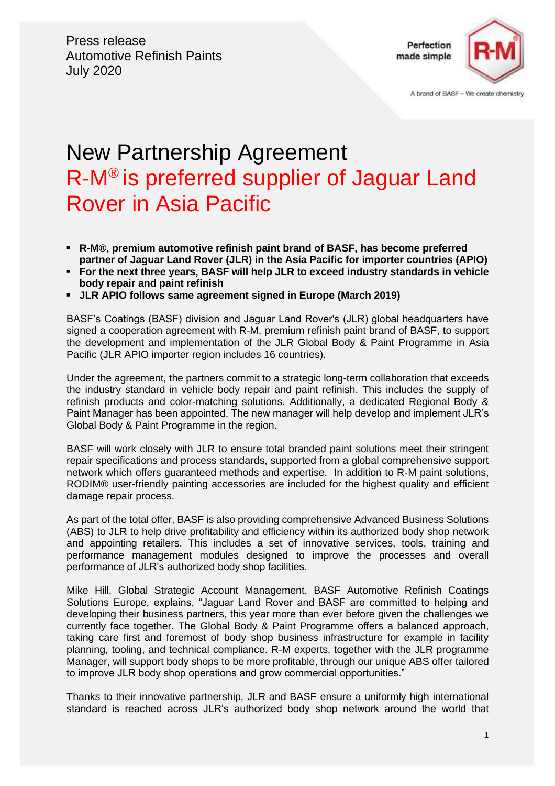

A brand of BASF - We create chemistry

# New Partnership Agreement R-M® is preferred supplier of Jaguar Land Rover in Asia Pacific

- **R-M®, premium automotive refinish paint brand of BASF, has become preferred partner of Jaguar Land Rover (JLR) in the Asia Pacific for importer countries (APIO)**
- **For the next three years, BASF will help JLR to exceed industry standards in vehicle body repair and paint refinish**
- **JLR APIO follows same agreement signed in Europe (March 2019)**

BASF's Coatings (BASF) division and Jaguar Land Rover's (JLR) global headquarters have signed a cooperation agreement with R-M, premium refinish paint brand of BASF, to support the development and implementation of the JLR Global Body & Paint Programme in Asia Pacific (JLR APIO importer region includes 16 countries).

Under the agreement, the partners commit to a strategic long-term collaboration that exceeds the industry standard in vehicle body repair and paint refinish. This includes the supply of refinish products and color-matching solutions. Additionally, a dedicated Regional Body & Paint Manager has been appointed. The new manager will help develop and implement JLR's Global Body & Paint Programme in the region.

BASF will work closely with JLR to ensure total branded paint solutions meet their stringent repair specifications and process standards, supported from a global comprehensive support network which offers guaranteed methods and expertise. In addition to R-M paint solutions, RODIM® user-friendly painting accessories are included for the highest quality and efficient damage repair process.

As part of the total offer, BASF is also providing comprehensive Advanced Business Solutions (ABS) to JLR to help drive profitability and efficiency within its authorized body shop network and appointing retailers. This includes a set of innovative services, tools, training and performance management modules designed to improve the processes and overall performance of JLR's authorized body shop facilities.

Mike Hill, Global Strategic Account Management, BASF Automotive Refinish Coatings Solutions Europe, explains, "Jaguar Land Rover and BASF are committed to helping and developing their business partners, this year more than ever before given the challenges we currently face together. The Global Body & Paint Programme offers a balanced approach, taking care first and foremost of body shop business infrastructure for example in facility planning, tooling, and technical compliance. R-M experts, together with the JLR programme Manager, will support body shops to be more profitable, through our unique ABS offer tailored to improve JLR body shop operations and grow commercial opportunities."

Thanks to their innovative partnership, JLR and BASF ensure a uniformly high international standard is reached across JLR's authorized body shop network around the world that